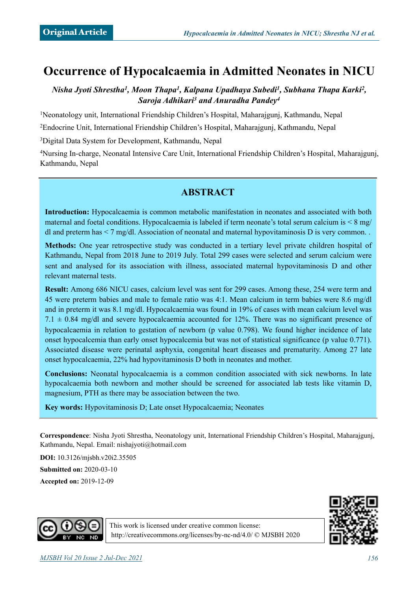# **Occurrence of Hypocalcaemia in Admitted Neonates in NICU**

*Nisha Jyoti Shrestha1, Moon Thapa1, Kalpana Upadhaya Subedi1, Subhana Thapa Karki2, Saroja Adhikari3 and Anuradha Pandey4*

1Neonatology unit, International Friendship Children's Hospital, Maharajgunj, Kathmandu, Nepal

2Endocrine Unit, International Friendship Children's Hospital, Maharajgunj, Kathmandu, Nepal

3Digital Data System for Development, Kathmandu, Nepal

4Nursing In-charge, Neonatal Intensive Care Unit, International Friendship Children's Hospital, Maharajgunj, Kathmandu, Nepal

## **ABSTRACT**

**Introduction:** Hypocalcaemia is common metabolic manifestation in neonates and associated with both maternal and foetal conditions. Hypocalcaemia is labeled if term neonate's total serum calcium is < 8 mg/ dl and preterm has  $\leq 7$  mg/dl. Association of neonatal and maternal hypovitaminosis D is very common.

**Methods:** One year retrospective study was conducted in a tertiary level private children hospital of Kathmandu, Nepal from 2018 June to 2019 July. Total 299 cases were selected and serum calcium were sent and analysed for its association with illness, associated maternal hypovitaminosis D and other relevant maternal tests.

**Result:** Among 686 NICU cases, calcium level was sent for 299 cases. Among these, 254 were term and 45 were preterm babies and male to female ratio was 4:1. Mean calcium in term babies were 8.6 mg/dl and in preterm it was 8.1 mg/dl. Hypocalcaemia was found in 19% of cases with mean calcium level was  $7.1 \pm 0.84$  mg/dl and severe hypocalcaemia accounted for 12%. There was no significant presence of hypocalcaemia in relation to gestation of newborn (p value 0.798). We found higher incidence of late onset hypocalcemia than early onset hypocalcemia but was not of statistical significance (p value 0.771). Associated disease were perinatal asphyxia, congenital heart diseases and prematurity. Among 27 late onset hypocalcaemia, 22% had hypovitaminosis D both in neonates and mother.

**Conclusions:** Neonatal hypocalcaemia is a common condition associated with sick newborns. In late hypocalcaemia both newborn and mother should be screened for associated lab tests like vitamin D, magnesium, PTH as there may be association between the two.

**Key words:** Hypovitaminosis D; Late onset Hypocalcaemia; Neonates

**Correspondence**: Nisha Jyoti Shrestha, Neonatology unit, International Friendship Children's Hospital, Maharajgunj, Kathmandu, Nepal. Email: [nishajyoti@hotmail.com](mailto:nishajyoti@hotmail.com)

**DOI:** 10.3126/mjsbh.v20i2.35505

**Submitted on:** 2020-03-10

**Accepted on:** 2019-12-09





This work is licensed under creative common license: <http://creativecommons.org/licenses/by-nc-nd/4.0/>© MJSBH 2020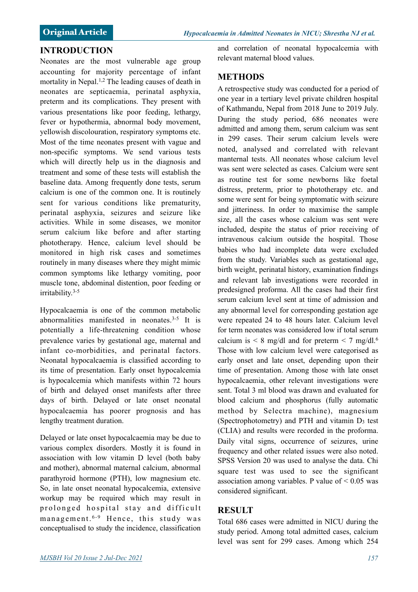#### **INTRODUCTION**

Neonates are the most vulnerable age group accounting for majority percentage of infant mortality in Nepal.1,2 The leading causes of death in neonates are septicaemia, perinatal asphyxia, preterm and its complications. They present with various presentations like poor feeding, lethargy, fever or hypothermia, abnormal body movement, yellowish discolouration, respiratory symptoms etc. Most of the time neonates present with vague and non-specific symptoms. We send various tests which will directly help us in the diagnosis and treatment and some of these tests will establish the baseline data. Among frequently done tests, serum calcium is one of the common one. It is routinely sent for various conditions like prematurity, perinatal asphyxia, seizures and seizure like activities. While in some diseases, we monitor serum calcium like before and after starting phototherapy. Hence, calcium level should be monitored in high risk cases and sometimes routinely in many diseases where they might mimic common symptoms like lethargy vomiting, poor muscle tone, abdominal distention, poor feeding or irritability.3-5

Hypocalcaemia is one of the common metabolic abnormalities manifested in neonates.3-5 It is potentially a life-threatening condition whose prevalence varies by gestational age, maternal and infant co-morbidities, and perinatal factors. Neonatal hypocalcaemia is classified according to its time of presentation. Early onset hypocalcemia is hypocalcemia which manifests within 72 hours of birth and delayed onset manifests after three days of birth. Delayed or late onset neonatal hypocalcaemia has poorer prognosis and has lengthy treatment duration.

Delayed or late onset hypocalcaemia may be due to various complex disorders. Mostly it is found in association with low vitamin D level (both baby and mother), abnormal maternal calcium, abnormal parathyroid hormone (PTH), low magnesium etc. So, in late onset neonatal hypocalcemia, extensive workup may be required which may result in prolonged hospital stay and difficult management.  $6-9$  Hence, this study was conceptualised to study the incidence, classification and correlation of neonatal hypocalcemia with relevant maternal blood values.

### **METHODS**

A retrospective study was conducted for a period of one year in a tertiary level private children hospital of Kathmandu, Nepal from 2018 June to 2019 July. During the study period, 686 neonates were admitted and among them, serum calcium was sent in 299 cases. Their serum calcium levels were noted, analysed and correlated with relevant manternal tests. All neonates whose calcium level was sent were selected as cases. Calcium were sent as routine test for some newborns like foetal distress, preterm, prior to phototherapy etc. and some were sent for being symptomatic with seizure and jitteriness. In order to maximise the sample size, all the cases whose calcium was sent were included, despite the status of prior receiving of intravenous calcium outside the hospital. Those babies who had incomplete data were excluded from the study. Variables such as gestational age, birth weight, perinatal history, examination findings and relevant lab investigations were recorded in predesigned proforma. All the cases had their first serum calcium level sent at time of admission and any abnormal level for corresponding gestation age were repeated 24 to 48 hours later. Calcium level for term neonates was considered low if total serum calcium is  $\leq 8$  mg/dl and for preterm  $\leq 7$  mg/dl.<sup>6</sup> Those with low calcium level were categorised as early onset and late onset, depending upon their time of presentation. Among those with late onset hypocalcaemia, other relevant investigations were sent. Total 3 ml blood was drawn and evaluated for blood calcium and phosphorus (fully automatic method by Selectra machine), magnesium (Spectrophotometry) and PTH and vitamin  $D_3$  test (CLIA) and results were recorded in the proforma. Daily vital signs, occurrence of seizures, urine frequency and other related issues were also noted. SPSS Version 20 was used to analyse the data. Chi square test was used to see the significant association among variables. P value of  $\leq 0.05$  was considered significant.

#### **RESULT**

Total 686 cases were admitted in NICU during the study period. Among total admitted cases, calcium level was sent for 299 cases. Among which 254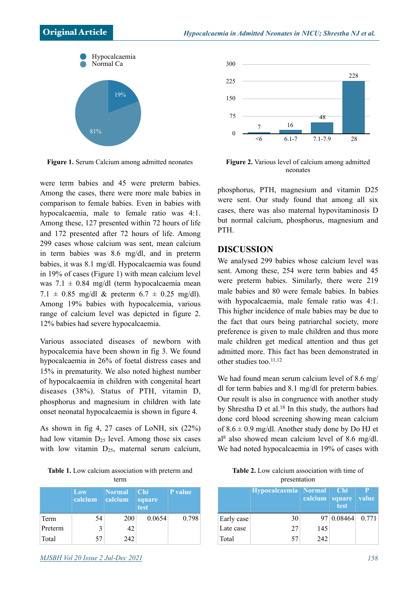

**Figure 1.** Serum Calcium among admitted neonates

were term babies and 45 were preterm babies. Among the cases, there were more male babies in comparison to female babies. Even in babies with hypocalcaemia, male to female ratio was 4:1. Among these, 127 presented within 72 hours of life and 172 presented after 72 hours of life. Among 299 cases whose calcium was sent, mean calcium in term babies was 8.6 mg/dl, and in preterm babies, it was 8.1 mg/dl. Hypocalcaemia was found in 19% of cases (Figure 1) with mean calcium level was  $7.1 \pm 0.84$  mg/dl (term hypocalcaemia mean 7.1  $\pm$  0.85 mg/dl & preterm 6.7  $\pm$  0.25 mg/dl). Among 19% babies with hypocalcemia, various range of calcium level was depicted in figure 2. 12% babies had severe hypocalcaemia.

Various associated diseases of newborn with hypocalcemia have been shown in fig 3. We found hypocalcaemia in 26% of foetal distress cases and 15% in prematurity. We also noted highest number of hypocalcaemia in children with congenital heart diseases (38%). Status of PTH, vitamin D, phosphorus and magnesium in children with late onset neonatal hypocalcaemia is shown in figure 4.

As shown in fig 4, 27 cases of LoNH, six (22%) had low vitamin  $D_{25}$  level. Among those six cases with low vitamin  $D_{25}$ , maternal serum calcium,

**Table 1.** Low calcium association with preterm and term

|         | Low<br>calcium | <b>Normal</b><br>calcium | <b>Chi</b><br>square<br>test | P value |
|---------|----------------|--------------------------|------------------------------|---------|
| Term    | 54             | 200                      | 0.0654                       | 0.798   |
| Preterm | 3              | 42                       |                              |         |
| Total   | 57             | 242                      |                              |         |



**Figure 2.** Various level of calcium among admitted neonates

phosphorus, PTH, magnesium and vitamin D25 were sent. Our study found that among all six cases, there was also maternal hypovitaminosis D but normal calcium, phosphorus, magnesium and PTH.

#### **DISCUSSION**

We analysed 299 babies whose calcium level was sent. Among these, 254 were term babies and 45 were preterm babies. Similarly, there were 219 male babies and 80 were female babies. In babies with hypocalcaemia, male female ratio was 4:1. This higher incidence of male babies may be due to the fact that ours being patriarchal society, more preference is given to male children and thus more male children get medical attention and thus get admitted more. This fact has been demonstrated in other studies too. $11,12$ 

We had found mean serum calcium level of 8.6 mg/ dl for term babies and 8.1 mg/dl for preterm babies. Our result is also in congruence with another study by Shrestha D et al.18 In this study, the authors had done cord blood screening showing mean calcium of  $8.6 \pm 0.9$  mg/dl. Another study done by Do HJ et  $a^{8}$  also showed mean calcium level of 8.6 mg/dl. We had noted hypocalcaemia in 19% of cases with

| <b>Table 2.</b> Low calcium association with time of |  |  |  |  |  |  |
|------------------------------------------------------|--|--|--|--|--|--|
| presentation                                         |  |  |  |  |  |  |

|            | Hypocalcaemia   Normal | calcium   square | $\blacksquare$ Chi<br>test | Р<br><b>value</b> |
|------------|------------------------|------------------|----------------------------|-------------------|
| Early case | 30                     |                  | 97 0.08464                 | 0.771             |
| Late case  | 27                     | 145              |                            |                   |
| Total      | 57                     | 242              |                            |                   |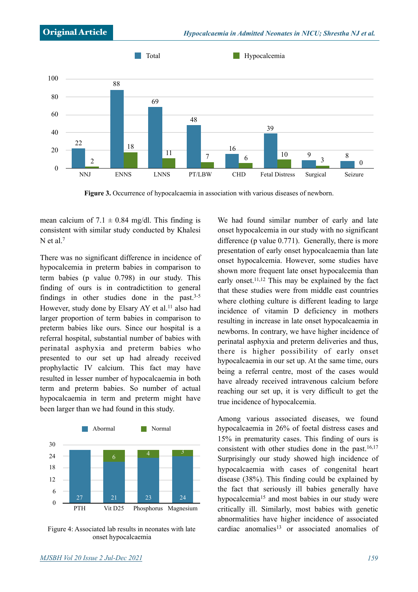

**Figure 3.** Occurrence of hypocalcaemia in association with various diseases of newborn.

mean calcium of  $7.1 \pm 0.84$  mg/dl. This finding is consistent with similar study conducted by Khalesi N et al.<sup>7</sup>

There was no significant difference in incidence of hypocalcemia in preterm babies in comparison to term babies (p value 0.798) in our study. This finding of ours is in contradictition to general findings in other studies done in the past. $3-5$ However, study done by Elsary AY et al.<sup>11</sup> also had larger proportion of term babies in comparison to preterm babies like ours. Since our hospital is a referral hospital, substantial number of babies with perinatal asphyxia and preterm babies who presented to our set up had already received prophylactic IV calcium. This fact may have resulted in lesser number of hypocalcaemia in both term and preterm babies. So number of actual hypocalcaemia in term and preterm might have been larger than we had found in this study.



Figure 4: Associated lab results in neonates with late onset hypocalcaemia

We had found similar number of early and late onset hypocalcemia in our study with no significant difference (p value 0.771). Generally, there is more presentation of early onset hypocalcaemia than late onset hypocalcemia. However, some studies have shown more frequent late onset hypocalcemia than early onset.11,12 This may be explained by the fact that these studies were from middle east countries where clothing culture is different leading to large incidence of vitamin D deficiency in mothers resulting in increase in late onset hypocalcaemia in newborns. In contrary, we have higher incidence of perinatal asphyxia and preterm deliveries and thus, there is higher possibility of early onset hypocalcaemia in our set up. At the same time, ours being a referral centre, most of the cases would have already received intravenous calcium before reaching our set up, it is very difficult to get the true incidence of hypocalcemia.

Among various associated diseases, we found hypocalcaemia in 26% of foetal distress cases and 15% in prematurity cases. This finding of ours is consistent with other studies done in the past.16,17 Surprisingly our study showed high incidence of hypocalcaemia with cases of congenital heart disease (38%). This finding could be explained by the fact that seriously ill babies generally have hypocalcemia<sup>15</sup> and most babies in our study were critically ill. Similarly, most babies with genetic abnormalities have higher incidence of associated cardiac anomalies<sup>13</sup> or associated anomalies of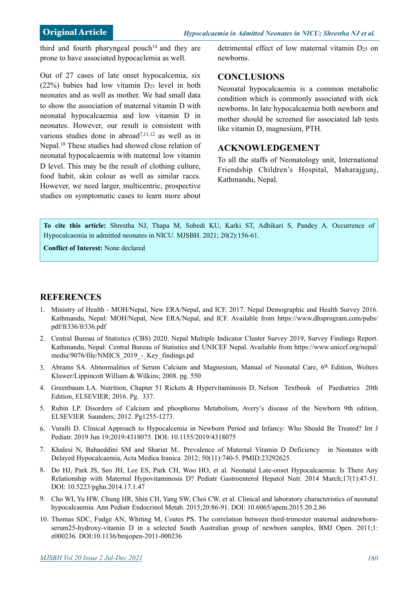third and fourth pharyngeal pouch<sup>14</sup> and they are prone to have associated hypocaclemia as well.

Out of 27 cases of late onset hypocalcemia, six  $(22%)$  babies had low vitamin  $D_{25}$  level in both neonates and as well as mother. We had small data to show the association of maternal vitamin D with neonatal hypocalcaemia and low vitamin D in neonates. However, our result is consistent with various studies done in abroad7,11,12 as well as in Nepal.18 These studies had showed close relation of neonatal hypocalcaemia with maternal low vitamin D level. This may be the result of clothing culture, food habit, skin colour as well as similar races. However, we need larger, multicentric, prospective studies on symptomatic cases to learn more about detrimental effect of low maternal vitamin D<sub>25</sub> on newborns.

#### **CONCLUSIONS**

Neonatal hypocalcaemia is a common metabolic condition which is commonly associated with sick newborns. In late hypocalcaemia both newborn and mother should be screened for associated lab tests like vitamin D, magnesium, PTH.

#### **ACKNOWLEDGEMENT**

To all the staffs of Neonatology unit, International Friendship Children's Hospital, Maharajgunj, Kathmandu, Nepal.

**To cite this article:** Shrestha NJ, Thapa M, Subedi KU, Karki ST, Adhikari S, Pandey A. Occurrence of Hypocalcaemia in admitted neonates in NICU. MJSBH. 2021; 20(2):156-61.

**Conflict of Interest:** None declared

#### **REFERENCES**

- 1. Ministry of Health MOH/Nepal, New ERA/Nepal, and ICF. 2017. Nepal Demographic and Health Survey 2016. Kathmandu, Nepal: MOH/Nepal, New ERA/Nepal, and ICF. Available from https://www.dhsprogram.com/pubs/ pdf/fr336/fr336.pdf
- 2. Central Bureau of Statistics (CBS) 2020. Nepal Multiple Indicator Cluster Survey 2019, Survey Findings Report. Kathmandu, Nepal: Central Bureau of Statistics and UNICEF Nepal. Available from https://www.unicef.org/nepal/ media/9076/file/NMICS\_2019\_-\_Key\_findings.pd
- 3. Abrams SA. Abnormalities of Serum Calcium and Magnesium, Manual of Neonatal Care, 6<sup>th</sup> Edition, Wolters Kluwer/Lippincott William & Wilkins; 2008. pg. 550
- 4. Greenbaum LA. Nutrition, Chapter 51 Rickets & Hypervitaminosis D, Nelson Textbook of Paediatrics 20th Edition, ELSEVIER; 2016. Pg. 337.
- 5. Rubin LP. Disorders of Calcium and phosphorus Metabolism, Avery's disease of the Newborn 9th edition, ELSEVIER Saunders; 2012. Pg1255-1273.
- 6. Vuralli D. Clinical Approach to Hypocalcemia in Newborn Period and Infancy: Who Should Be Treated? Int J Pediatr. 2019 Jun 19;2019:4318075. DOI: 10.1155/2019/4318075
- 7. Khalesi N, Bahaeddini SM and Shariat M.. Prevalence of Maternal Vitamin D Deficiency in Neonates with Delayed Hypocalcaemia, Acta Medica Iranica. 2012; 50(11):740-5. PMID:23292625.
- 8. Do HJ, Park JS, Seo JH, Lee ES, Park CH, Woo HO, et al. Neonatal Late-onset Hypocalcaemia: Is There Any Relationship with Maternal Hypovitaminosis D? Pediatr Gastroenterol Hepatol Nutr. 2014 March;17(1):47-51. DOI: 10.5223/pghn.2014.17.1.47
- 9. Cho WI, Yu HW, Chung HR, Shin CH, Yang SW, Choi CW, et al. Clinical and laboratory characteristics of neonatal hypocalcaemia. Ann Pediatr Endocrinol Metab. 2015;20:86-91. [DOI: 10.6065/apem.2015.20.2.86](http://dx.doi.org/10.6065/apem.2015.20.2.86)
- 10. Thomas SDC, Fudge AN, Whiting M, Coates PS. The correlation between third-trimester maternal andnewbornserum25-hydroxy-vitamin D in a selected South Australian group of newborn samples, BMJ Open. 2011;1: e000236. DOI:10.1136/bmjopen-2011-000236